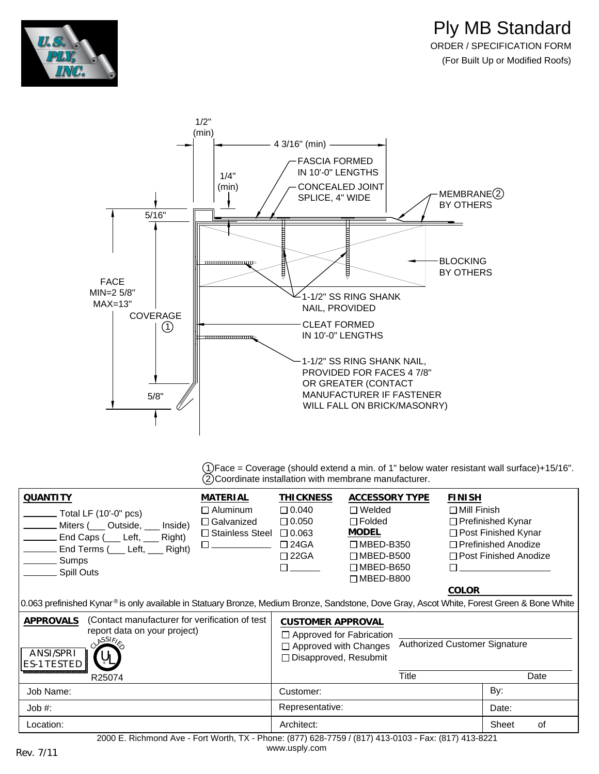



Face = Coverage (should extend a min. of 1" below water resistant wall surface)+15/16". Coordinate installation with membrane manufacturer. 1 2

| <b>QUANTITY</b><br>$\_$ Total LF (10'-0" pcs)<br>Miters (Coutside, Counterpolate)<br>End Caps (___ Left, ___ Right)<br>End Terms (___ Left, ___ Right)<br>$\_$ Sumps<br><b>Spill Outs</b><br>0.063 prefinished Kynar® is only available in Statuary Bronze, Medium Bronze, Sandstone, Dove Gray, Ascot White, Forest Green & Bone White | MATERIAL<br>$\Box$ Aluminum<br>□ Galvanized<br>$\Box$ Stainless Steel $\Box$ 0.063<br>$\Box$ | <b>THICKNESS</b><br>$\Box$ 0.040<br>$\Box$ 0.050<br>$\Box$ 24GA<br>$\square$ 22GA<br>П                                          | ACCESSORY TYPE<br>$\Box$ Welded<br>$\Box$ Folded<br>MODEL<br>$\Box$ MBED-B350<br>$\Box$ MBED-B500<br>$\Box$ MBED-B650<br>$\Box$ MBED-B800 |                                              | <b>FINISH</b><br>$\Box$ Mill Finish<br>COLOR | $\Box$ Prefinished Kynar<br>□ Post Finished Kynar<br>$\Box$ Prefinished Anodize<br>□ Post Finished Anodize |    |  |
|-----------------------------------------------------------------------------------------------------------------------------------------------------------------------------------------------------------------------------------------------------------------------------------------------------------------------------------------|----------------------------------------------------------------------------------------------|---------------------------------------------------------------------------------------------------------------------------------|-------------------------------------------------------------------------------------------------------------------------------------------|----------------------------------------------|----------------------------------------------|------------------------------------------------------------------------------------------------------------|----|--|
| (Contact manufacturer for verification of test)<br><b>APPROVALS</b><br>report data on your project)<br>$A^{SSIF}$<br>ANSI/SPRI<br>ES-1 TESTED                                                                                                                                                                                           |                                                                                              | <b>CUSTOMER APPROVAL</b><br>$\Box$ Approved for Fabrication<br>$\Box$ Approved with Changes<br>□ Disapproved, Resubmit<br>Title |                                                                                                                                           | <b>Authorized Customer Signature</b><br>Date |                                              |                                                                                                            |    |  |
| R25074<br>Job Name:                                                                                                                                                                                                                                                                                                                     |                                                                                              | Customer:                                                                                                                       |                                                                                                                                           |                                              |                                              | By:                                                                                                        |    |  |
| Job #:                                                                                                                                                                                                                                                                                                                                  |                                                                                              | Representative:                                                                                                                 |                                                                                                                                           |                                              |                                              | Date:                                                                                                      |    |  |
| Location:                                                                                                                                                                                                                                                                                                                               |                                                                                              | Architect:                                                                                                                      |                                                                                                                                           |                                              |                                              | Sheet                                                                                                      | 0f |  |
| 2000 E. Richmond Ave - Fort Worth, TX - Phone: (877) 628-7759 / (817) 413-0103 - Fax: (817) 413-8221                                                                                                                                                                                                                                    |                                                                                              |                                                                                                                                 |                                                                                                                                           |                                              |                                              |                                                                                                            |    |  |

[www.usply.com](http://www.usply.com/) Rev. 7/11